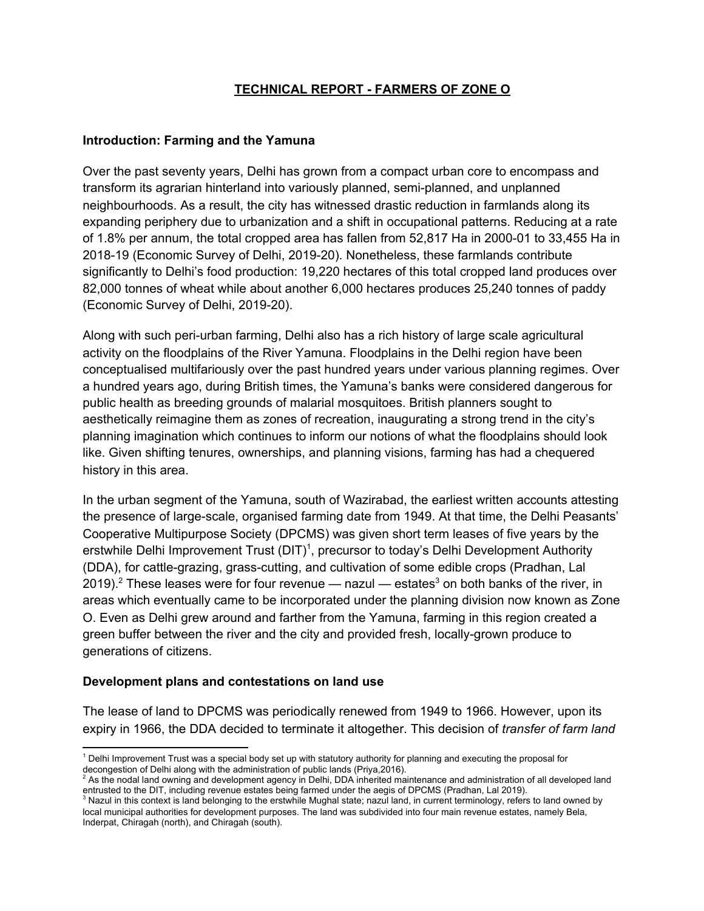### **TECHNICAL REPORT - FARMERS OF ZONE O**

#### **Introduction: Farming and the Yamuna**

Over the past seventy years, Delhi has grown from a compact urban core to encompass and transform its agrarian hinterland into variously planned, semi-planned, and unplanned neighbourhoods. As a result, the city has witnessed drastic reduction in farmlands along its expanding periphery due to urbanization and a shift in occupational patterns. Reducing at a rate of 1.8% per annum, the total cropped area has fallen from 52,817 Ha in 2000-01 to 33,455 Ha in 2018-19 (Economic Survey of Delhi, 2019-20). Nonetheless, these farmlands contribute significantly to Delhi's food production: 19,220 hectares of this total cropped land produces over 82,000 tonnes of wheat while about another 6,000 hectares produces 25,240 tonnes of paddy (Economic Survey of Delhi, 2019-20).

Along with such peri-urban farming, Delhi also has a rich history of large scale agricultural activity on the floodplains of the River Yamuna. Floodplains in the Delhi region have been conceptualised multifariously over the past hundred years under various planning regimes. Over a hundred years ago, during British times, the Yamuna's banks were considered dangerous for public health as breeding grounds of malarial mosquitoes. British planners sought to aesthetically reimagine them as zones of recreation, inaugurating a strong trend in the city's planning imagination which continues to inform our notions of what the floodplains should look like. Given shifting tenures, ownerships, and planning visions, farming has had a chequered history in this area.

In the urban segment of the Yamuna, south of Wazirabad, the earliest written accounts attesting the presence of large-scale, organised farming date from 1949. At that time, the Delhi Peasants' Cooperative Multipurpose Society (DPCMS) was given short term leases of five years by the erstwhile Delhi Improvement Trust (DIT)<sup>1</sup>, precursor to today's Delhi Development Authority (DDA), for cattle-grazing, grass-cutting, and cultivation of some edible crops (Pradhan, Lal 2019).<sup>2</sup> These leases were for four revenue — nazul — estates<sup>3</sup> on both banks of the river, in areas which eventually came to be incorporated under the planning division now known as Zone O. Even as Delhi grew around and farther from the Yamuna, farming in this region created a green buffer between the river and the city and provided fresh, locally-grown produce to generations of citizens.

### **Development plans and contestations on land use**

The lease of land to DPCMS was periodically renewed from 1949 to 1966. However, upon its expiry in 1966, the DDA decided to terminate it altogether. This decision of *transfer of farm land*

<sup>1</sup> Delhi Improvement Trust was a special body set up with statutory authority for planning and executing the proposal for

decongestion of Delhi along with the administration of public lands (Priya,2016).<br><sup>2</sup> As the nodal land owning and development agency in Delhi, DDA inherited maintenance and administration of all developed land

entrusted to the DIT, including revenue estates being farmed under the aegis of DPCMS (Pradhan, Lal 2019).<br><sup>3</sup> Nazul in this context is land belonging to the erstwhile Mughal state; nazul land, in current terminology, refe local municipal authorities for development purposes. The land was subdivided into four main revenue estates, namely Bela, Inderpat, Chiragah (north), and Chiragah (south).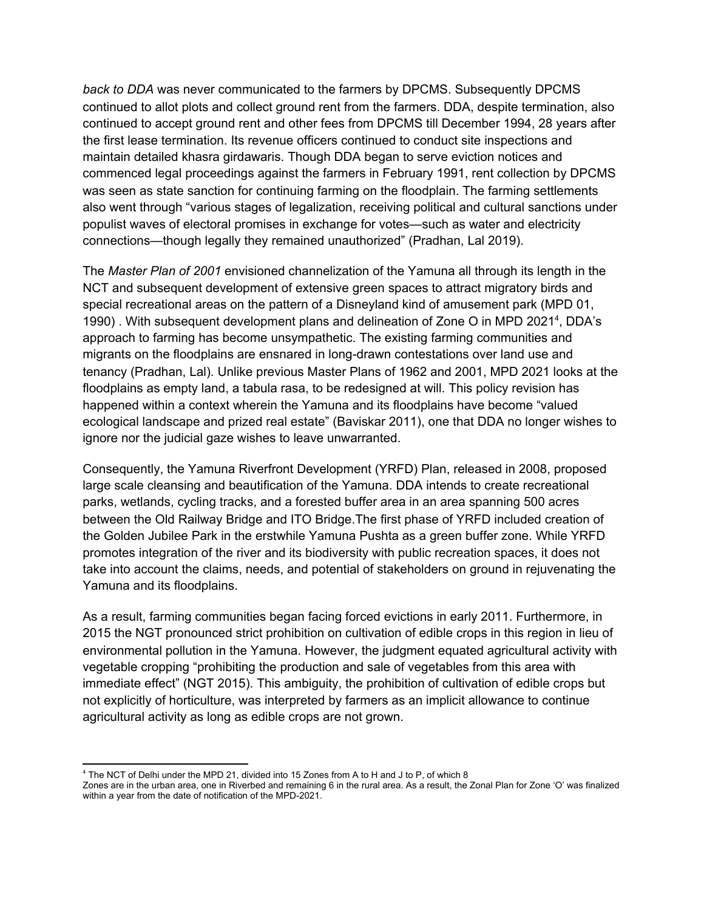*back to DDA* was never communicated to the farmers by DPCMS. Subsequently DPCMS continued to allot plots and collect ground rent from the farmers. DDA, despite termination, also continued to accept ground rent and other fees from DPCMS till December 1994, 28 years after the first lease termination. Its revenue officers continued to conduct site inspections and maintain detailed khasra girdawaris. Though DDA began to serve eviction notices and commenced legal proceedings against the farmers in February 1991, rent collection by DPCMS was seen as state sanction for continuing farming on the floodplain. The farming settlements also went through "various stages of legalization, receiving political and cultural sanctions under populist waves of electoral promises in exchange for votes—such as water and electricity connections—though legally they remained unauthorized" (Pradhan, Lal 2019).

The *Master Plan of 2001* envisioned channelization of the Yamuna all through its length in the NCT and subsequent development of extensive green spaces to attract migratory birds and special recreational areas on the pattern of a Disneyland kind of amusement park (MPD 01, 1990). With subsequent development plans and delineation of Zone O in MPD 2021<sup>4</sup>, DDA's approach to farming has become unsympathetic. The existing farming communities and migrants on the floodplains are ensnared in long-drawn contestations over land use and tenancy (Pradhan, Lal). Unlike previous Master Plans of 1962 and 2001, MPD 2021 looks at the floodplains as empty land, a tabula rasa, to be redesigned at will. This policy revision has happened within a context wherein the Yamuna and its floodplains have become "valued ecological landscape and prized real estate" (Baviskar 2011), one that DDA no longer wishes to ignore nor the judicial gaze wishes to leave unwarranted.

Consequently, the Yamuna Riverfront Development (YRFD) Plan, released in 2008, proposed large scale cleansing and beautification of the Yamuna. DDA intends to create recreational parks, wetlands, cycling tracks, and a forested buffer area in an area spanning 500 acres between the Old Railway Bridge and ITO Bridge.The first phase of YRFD included creation of the Golden Jubilee Park in the erstwhile Yamuna Pushta as a green buffer zone. While YRFD promotes integration of the river and its biodiversity with public recreation spaces, it does not take into account the claims, needs, and potential of stakeholders on ground in rejuvenating the Yamuna and its floodplains.

As a result, farming communities began facing forced evictions in early 2011. Furthermore, in 2015 the NGT pronounced strict prohibition on cultivation of edible crops in this region in lieu of environmental pollution in the Yamuna. However, the judgment equated agricultural activity with vegetable cropping "prohibiting the production and sale of vegetables from this area with immediate effect" (NGT 2015). This ambiguity, the prohibition of cultivation of edible crops but not explicitly of horticulture, was interpreted by farmers as an implicit allowance to continue agricultural activity as long as edible crops are not grown.

<sup>4</sup> The NCT of Delhi under the MPD 21, divided into 15 Zones from A to H and J to P, of which 8

Zones are in the urban area, one in Riverbed and remaining 6 in the rural area. As a result, the Zonal Plan for Zone 'O' was finalized within a year from the date of notification of the MPD-2021.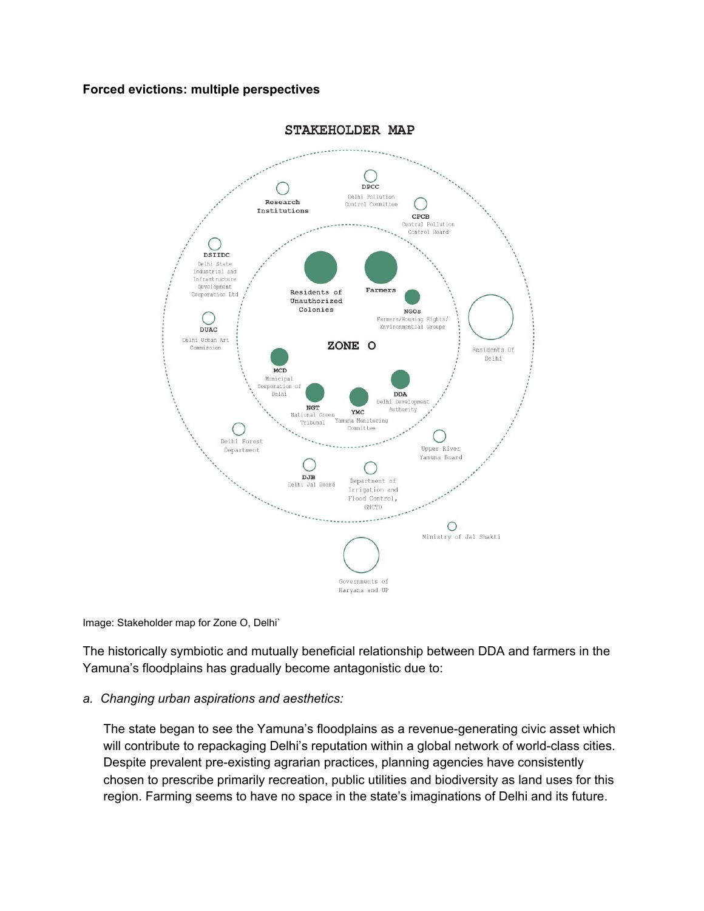### **Forced evictions: multiple perspectives**



**STAKEHOLDER MAP** 

Image: Stakeholder map for Zone O, Delhi`

The historically symbiotic and mutually beneficial relationship between DDA and farmers in the Yamuna's floodplains has gradually become antagonistic due to:

#### *a. Changing urban aspirations and aesthetics:*

The state began to see the Yamuna's floodplains as a revenue-generating civic asset which will contribute to repackaging Delhi's reputation within a global network of world-class cities. Despite prevalent pre-existing agrarian practices, planning agencies have consistently chosen to prescribe primarily recreation, public utilities and biodiversity as land uses for this region. Farming seems to have no space in the state's imaginations of Delhi and its future.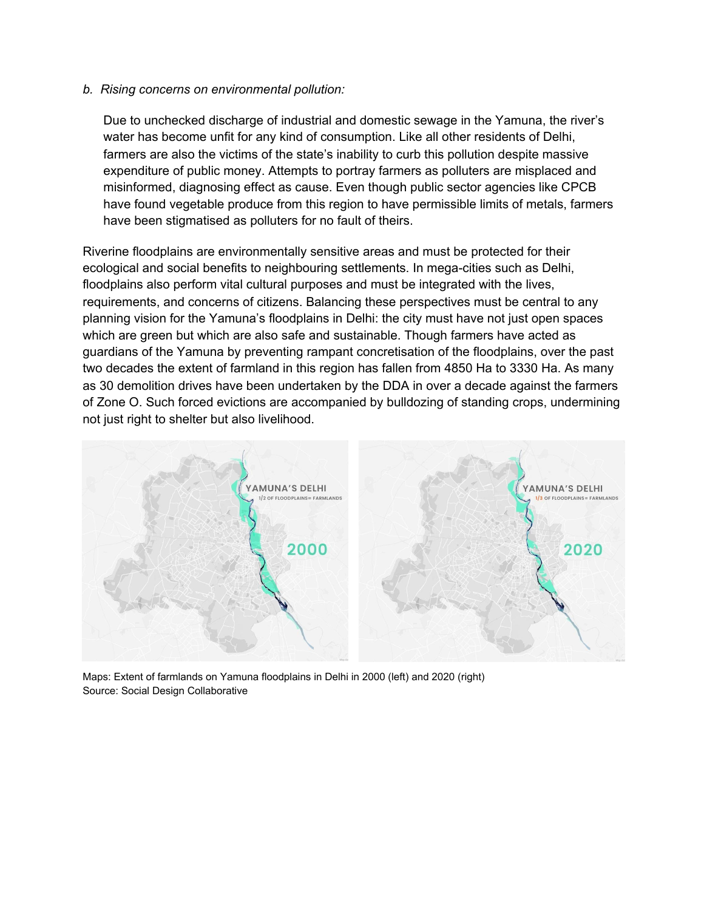#### *b. Rising concerns on environmental pollution:*

Due to unchecked discharge of industrial and domestic sewage in the Yamuna, the river's water has become unfit for any kind of consumption. Like all other residents of Delhi, farmers are also the victims of the state's inability to curb this pollution despite massive expenditure of public money. Attempts to portray farmers as polluters are misplaced and misinformed, diagnosing effect as cause. Even though public sector agencies like CPCB have found vegetable produce from this region to have permissible limits of metals, farmers have been stigmatised as polluters for no fault of theirs.

Riverine floodplains are environmentally sensitive areas and must be protected for their ecological and social benefits to neighbouring settlements. In mega-cities such as Delhi, floodplains also perform vital cultural purposes and must be integrated with the lives, requirements, and concerns of citizens. Balancing these perspectives must be central to any planning vision for the Yamuna's floodplains in Delhi: the city must have not just open spaces which are green but which are also safe and sustainable. Though farmers have acted as guardians of the Yamuna by preventing rampant concretisation of the floodplains, over the past two decades the extent of farmland in this region has fallen from 4850 Ha to 3330 Ha. As many as 30 demolition drives have been undertaken by the DDA in over a decade against the farmers of Zone O. Such forced evictions are accompanied by bulldozing of standing crops, undermining not just right to shelter but also livelihood.



Maps: Extent of farmlands on Yamuna floodplains in Delhi in 2000 (left) and 2020 (right) Source: Social Design Collaborative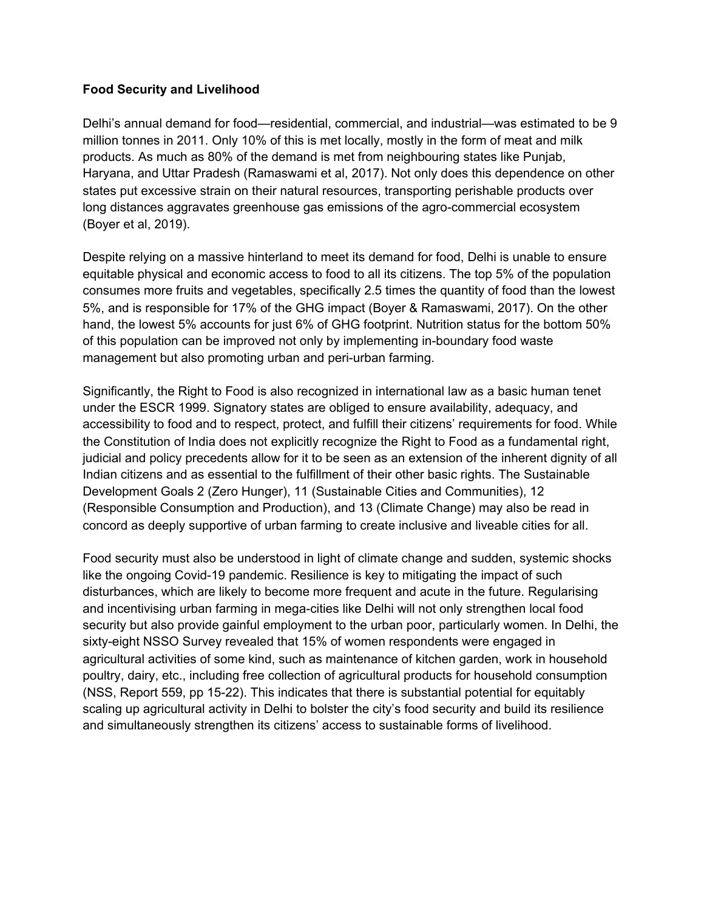### **Food Security and Livelihood**

Delhi's annual demand for food—residential, commercial, and industrial—was estimated to be 9 million tonnes in 2011. Only 10% of this is met locally, mostly in the form of meat and milk products. As much as 80% of the demand is met from neighbouring states like Punjab, Haryana, and Uttar Pradesh (Ramaswami et al, 2017). Not only does this dependence on other states put excessive strain on their natural resources, transporting perishable products over long distances aggravates greenhouse gas emissions of the agro-commercial ecosystem (Boyer et al, 2019).

Despite relying on a massive hinterland to meet its demand for food, Delhi is unable to ensure equitable physical and economic access to food to all its citizens. The top 5% of the population consumes more fruits and vegetables, specifically 2.5 times the quantity of food than the lowest 5%, and is responsible for 17% of the GHG impact (Boyer & Ramaswami, 2017). On the other hand, the lowest 5% accounts for just 6% of GHG footprint. Nutrition status for the bottom 50% of this population can be improved not only by implementing in-boundary food waste management but also promoting urban and peri-urban farming.

Significantly, the Right to Food is also recognized in international law as a basic human tenet under the ESCR 1999. Signatory states are obliged to ensure availability, adequacy, and accessibility to food and to respect, protect, and fulfill their citizens' requirements for food. While the Constitution of India does not explicitly recognize the Right to Food as a fundamental right, judicial and policy precedents allow for it to be seen as an extension of the inherent dignity of all Indian citizens and as essential to the fulfillment of their other basic rights. The Sustainable Development Goals 2 (Zero Hunger), 11 (Sustainable Cities and Communities), 12 (Responsible Consumption and Production), and 13 (Climate Change) may also be read in concord as deeply supportive of urban farming to create inclusive and liveable cities for all.

Food security must also be understood in light of climate change and sudden, systemic shocks like the ongoing Covid-19 pandemic. Resilience is key to mitigating the impact of such disturbances, which are likely to become more frequent and acute in the future. Regularising and incentivising urban farming in mega-cities like Delhi will not only strengthen local food security but also provide gainful employment to the urban poor, particularly women. In Delhi, the sixty-eight NSSO Survey revealed that 15% of women respondents were engaged in agricultural activities of some kind, such as maintenance of kitchen garden, work in household poultry, dairy, etc., including free collection of agricultural products for household consumption (NSS, Report 559, pp 15-22). This indicates that there is substantial potential for equitably scaling up agricultural activity in Delhi to bolster the city's food security and build its resilience and simultaneously strengthen its citizens' access to sustainable forms of livelihood.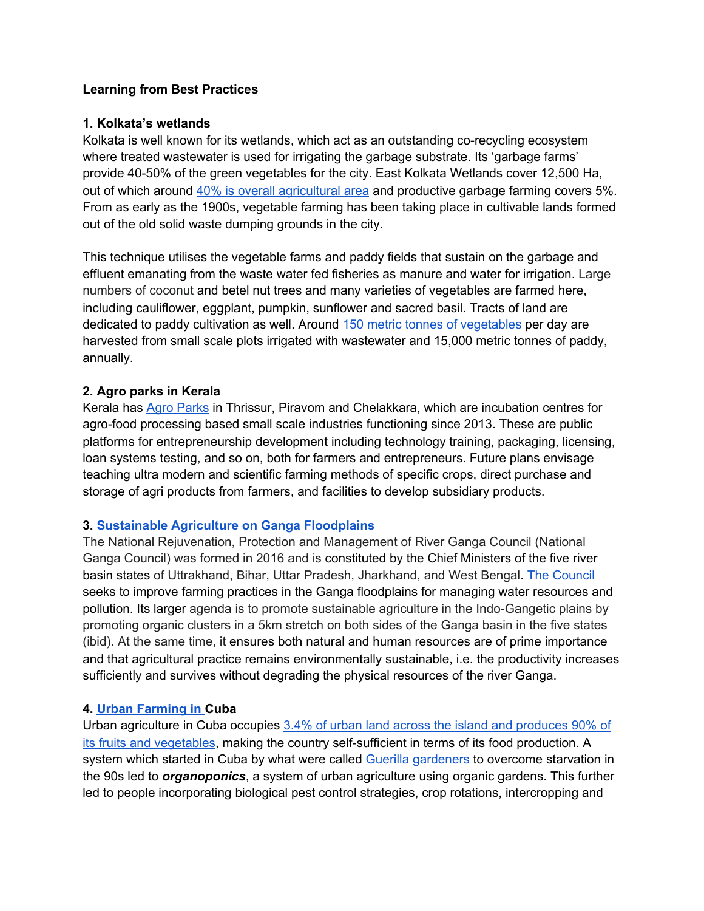### **Learning from Best Practices**

### **1. Kolkata's wetlands**

Kolkata is well known for its wetlands, which act as an outstanding co-recycling ecosystem where treated wastewater is used for irrigating the garbage substrate. Its 'garbage farms' provide 40-50% of the green vegetables for the city. East Kolkata Wetlands cover 12,500 Ha, out of which around 40% is overall [agricultural](https://south-asia.wetlands.org/wp-content/uploads/sites/8/dlm_uploads/2017/11/East_Kolkata_WEB-1.pdf) area and productive garbage farming covers 5%. From as early as the 1900s, vegetable farming has been taking place in cultivable lands formed out of the old solid waste dumping grounds in the city.

This technique utilises the vegetable farms and paddy fields that sustain on the garbage and effluent emanating from the waste water fed fisheries as manure and water for irrigation. Large numbers of coconut and betel nut trees and many varieties of vegetables are farmed here, including cauliflower, eggplant, pumpkin, sunflower and sacred basil. Tracts of land are dedicated to paddy cultivation as well. Around 150 metric tonnes of [vegetables](http://www.keiip.in/wetlands.php?ac=1) per day are harvested from small scale plots irrigated with wastewater and 15,000 metric tonnes of paddy, annually.

### **2. Agro parks in Kerala**

Kerala has Agro [Parks](https://keralaagropark.com/) in Thrissur, Piravom and Chelakkara, which are incubation centres for agro-food processing based small scale industries functioning since 2013. These are public platforms for entrepreneurship development including technology training, packaging, licensing, loan systems testing, and so on, both for farmers and entrepreneurs. Future plans envisage teaching ultra modern and scientific farming methods of specific crops, direct purchase and storage of agri products from farmers, and facilities to develop subsidiary products.

### **3. [Sustainable](https://www.researchgate.net/publication/323099627_Sustainable_agriculture_in_Ganga_Basin) Agriculture on Ganga Floodplains**

The National Rejuvenation, Protection and Management of River Ganga Council (National Ganga Council) was formed in 2016 and is constituted by the Chief Ministers of the five river basin states of Uttrakhand, Bihar, Uttar Pradesh, Jharkhand, and West Bengal. The [Council](https://www.livemint.com/news/india/government-renews-push-for-organic-farming-in-ganga-basin-11576400748902.html) seeks to improve farming practices in the Ganga floodplains for managing water resources and pollution. Its larger agenda is to promote sustainable agriculture in the Indo-Gangetic plains by promoting organic clusters in a 5km stretch on both sides of the Ganga basin in the five states (ibid). At the same time, it ensures both natural and human resources are of prime importance and that agricultural practice remains environmentally sustainable, i.e. the productivity increases sufficiently and survives without degrading the physical resources of the river Ganga.

### **4. Urban [Farming](https://sustainablefoodtrust.org/articles/viva-la-produccion-urban-farming-in-cuba/#:~:text=Urban%20agriculture%20is%20a%20big,all%20its%20fruit%20and%20vegetables.) in Cuba**

Urban agriculture in Cuba occupies 3.4% of urban land across the island and [produces](https://sustainablefoodtrust.org/articles/viva-la-produccion-urban-farming-in-cuba/#:~:text=Urban%20agriculture%20is%20a%20big,all%20its%20fruit%20and%20vegetables) 90% of its fruits and [vegetables,](https://sustainablefoodtrust.org/articles/viva-la-produccion-urban-farming-in-cuba/#:~:text=Urban%20agriculture%20is%20a%20big,all%20its%20fruit%20and%20vegetables) making the country self-sufficient in terms of its food production. A system which started in Cuba by what were called Guerilla [gardeners](https://www.architectural-review.com/essays/cubas-urban-farming-revolution-how-to-create-self-sufficient-cities) to overcome starvation in the 90s led to *organoponics*, a system of urban [agriculture](https://en.wikipedia.org/wiki/Urban_agriculture) using organic [gardens](https://en.wikipedia.org/wiki/Organic_farming). This further led to people incorporating biological pest control strategies, crop rotations, intercropping and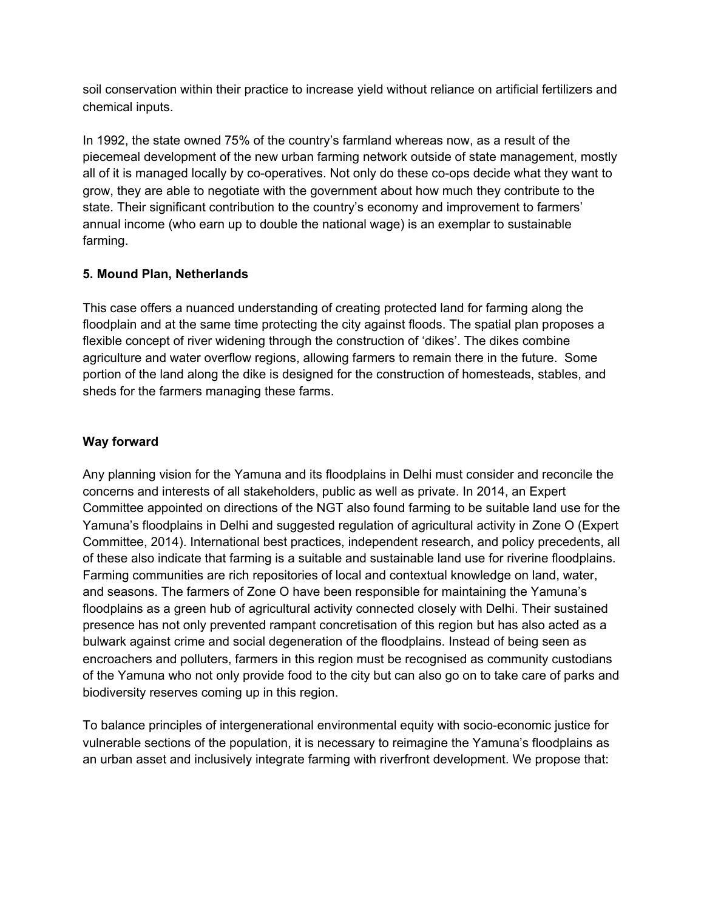soil conservation within their practice to increase yield without reliance on artificial fertilizers and chemical inputs.

In 1992, the state owned 75% of the country's farmland whereas now, as a result of the piecemeal development of the new urban farming network outside of state management, mostly all of it is managed locally by co-operatives. Not only do these co-ops decide what they want to grow, they are able to negotiate with the government about how much they contribute to the state. Their significant contribution to the country's economy and improvement to farmers' annual income (who earn up to double the national wage) is an exemplar to sustainable farming.

# **5. Mound Plan, Netherlands**

This case offers a nuanced understanding of creating protected land for farming along the floodplain and at the same time protecting the city against floods. The spatial plan proposes a flexible concept of river widening through the construction of 'dikes'. The dikes combine agriculture and water overflow regions, allowing farmers to remain there in the future. Some portion of the land along the dike is designed for the construction of homesteads, stables, and sheds for the farmers managing these farms.

# **Way forward**

Any planning vision for the Yamuna and its floodplains in Delhi must consider and reconcile the concerns and interests of all stakeholders, public as well as private. In 2014, an Expert Committee appointed on directions of the NGT also found farming to be suitable land use for the Yamuna's floodplains in Delhi and suggested regulation of agricultural activity in Zone O (Expert Committee, 2014). International best practices, independent research, and policy precedents, all of these also indicate that farming is a suitable and sustainable land use for riverine floodplains. Farming communities are rich repositories of local and contextual knowledge on land, water, and seasons. The farmers of Zone O have been responsible for maintaining the Yamuna's floodplains as a green hub of agricultural activity connected closely with Delhi. Their sustained presence has not only prevented rampant concretisation of this region but has also acted as a bulwark against crime and social degeneration of the floodplains. Instead of being seen as encroachers and polluters, farmers in this region must be recognised as community custodians of the Yamuna who not only provide food to the city but can also go on to take care of parks and biodiversity reserves coming up in this region.

To balance principles of intergenerational environmental equity with socio-economic justice for vulnerable sections of the population, it is necessary to reimagine the Yamuna's floodplains as an urban asset and inclusively integrate farming with riverfront development. We propose that: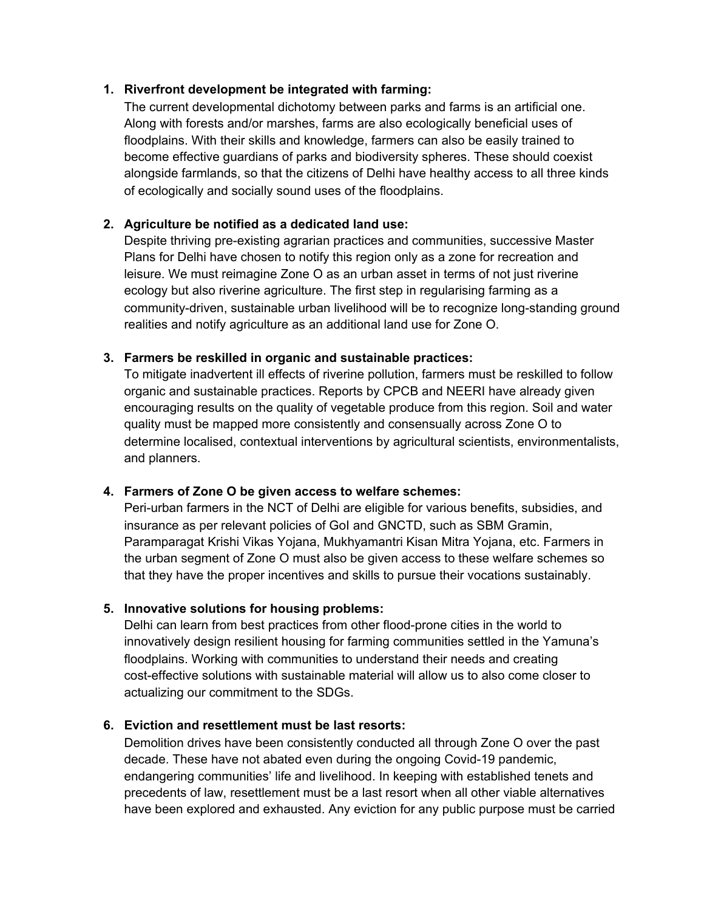### **1. Riverfront development be integrated with farming:**

The current developmental dichotomy between parks and farms is an artificial one. Along with forests and/or marshes, farms are also ecologically beneficial uses of floodplains. With their skills and knowledge, farmers can also be easily trained to become effective guardians of parks and biodiversity spheres. These should coexist alongside farmlands, so that the citizens of Delhi have healthy access to all three kinds of ecologically and socially sound uses of the floodplains.

### **2. Agriculture be notified as a dedicated land use:**

Despite thriving pre-existing agrarian practices and communities, successive Master Plans for Delhi have chosen to notify this region only as a zone for recreation and leisure. We must reimagine Zone O as an urban asset in terms of not just riverine ecology but also riverine agriculture. The first step in regularising farming as a community-driven, sustainable urban livelihood will be to recognize long-standing ground realities and notify agriculture as an additional land use for Zone O.

### **3. Farmers be reskilled in organic and sustainable practices:**

To mitigate inadvertent ill effects of riverine pollution, farmers must be reskilled to follow organic and sustainable practices. Reports by CPCB and NEERI have already given encouraging results on the quality of vegetable produce from this region. Soil and water quality must be mapped more consistently and consensually across Zone O to determine localised, contextual interventions by agricultural scientists, environmentalists, and planners.

# **4. Farmers of Zone O be given access to welfare schemes:**

Peri-urban farmers in the NCT of Delhi are eligible for various benefits, subsidies, and insurance as per relevant policies of GoI and GNCTD, such as SBM Gramin, Paramparagat Krishi Vikas Yojana, Mukhyamantri Kisan Mitra Yojana, etc. Farmers in the urban segment of Zone O must also be given access to these welfare schemes so that they have the proper incentives and skills to pursue their vocations sustainably.

### **5. Innovative solutions for housing problems:**

Delhi can learn from best practices from other flood-prone cities in the world to innovatively design resilient housing for farming communities settled in the Yamuna's floodplains. Working with communities to understand their needs and creating cost-effective solutions with sustainable material will allow us to also come closer to actualizing our commitment to the SDGs.

### **6. Eviction and resettlement must be last resorts:**

Demolition drives have been consistently conducted all through Zone O over the past decade. These have not abated even during the ongoing Covid-19 pandemic, endangering communities' life and livelihood. In keeping with established tenets and precedents of law, resettlement must be a last resort when all other viable alternatives have been explored and exhausted. Any eviction for any public purpose must be carried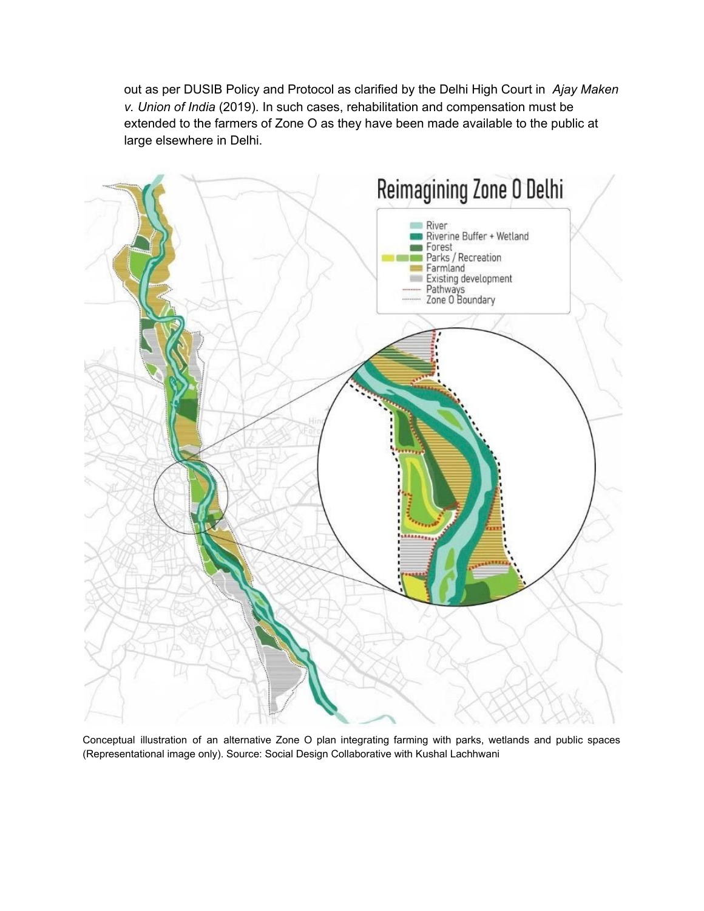out as per DUSIB Policy and Protocol as clarified by the Delhi High Court in *Ajay Maken v. Union of India* (2019). In such cases, rehabilitation and compensation must be extended to the farmers of Zone O as they have been made available to the public at large elsewhere in Delhi.



Conceptual illustration of an alternative Zone O plan integrating farming with parks, wetlands and public spaces (Representational image only). Source: Social Design Collaborative with Kushal Lachhwani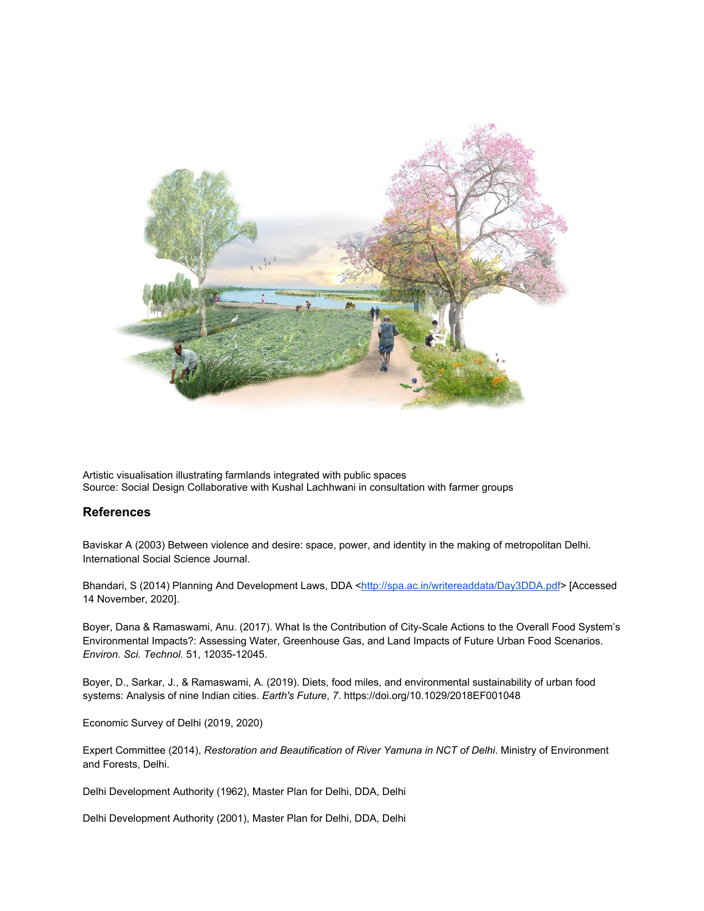

Artistic visualisation illustrating farmlands integrated with public spaces Source: Social Design Collaborative with Kushal Lachhwani in consultation with farmer groups

#### **References**

Baviskar A (2003) Between violence and desire: space, power, and identity in the making of metropolitan Delhi. International Social Science Journal.

Bhandari, S (2014) Planning And Development Laws, DDA [<http://spa.ac.in/writereaddata/Day3DDA.pdf>](http://spa.ac.in/writereaddata/Day3DDA.pdf) [Accessed 14 November, 2020].

Boyer, Dana & Ramaswami, Anu. (2017). What Is the Contribution of City-Scale Actions to the Overall Food System's Environmental Impacts?: Assessing Water, Greenhouse Gas, and Land Impacts of Future Urban Food Scenarios. *Environ. Sci. Technol.* 51, 12035-12045.

Boyer, D., Sarkar, J., & Ramaswami, A. (2019). Diets, food miles, and environmental sustainability of urban food systems: Analysis of nine Indian cities. *Earth's Future*, *7*. https://doi.org/10.1029/2018EF001048

Economic Survey of Delhi (2019, 2020)

Expert Committee (2014), *Restoration and Beautification of River Yamuna in NCT of Delhi*. Ministry of Environment and Forests, Delhi.

Delhi Development Authority (1962), Master Plan for Delhi, DDA, Delhi

Delhi Development Authority (2001), Master Plan for Delhi, DDA, Delhi